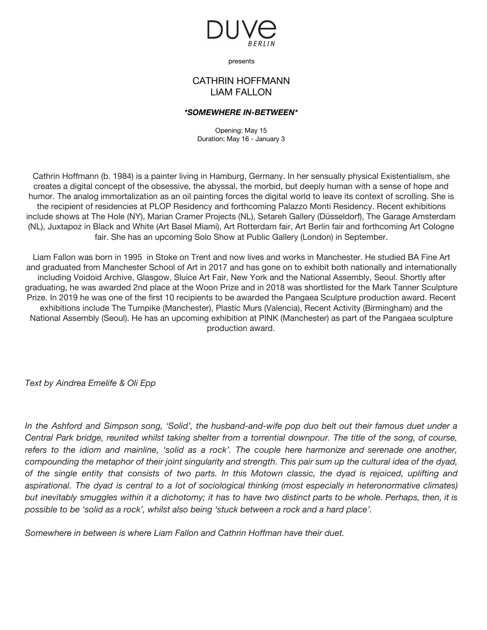

presents

## CATHRIN HOFFMANN LIAM FALLON

## *\*SOMEWHERE IN-BETWEEN\**

Opening: May 15 Duration: May 16 - January 3

Cathrin Hoffmann (b. 1984) is a painter living in Hamburg, Germany. In her sensually physical Existentialism, she creates a digital concept of the obsessive, the abyssal, the morbid, but deeply human with a sense of hope and humor. The analog immortalization as an oil painting forces the digital world to leave its context of scrolling. She is the recipient of residencies at PLOP Residency and forthcoming Palazzo Monti Residency. Recent exhibitions include shows at The Hole (NY), Marian Cramer Projects (NL), Setareh Gallery (Düsseldorf), The Garage Amsterdam (NL), Juxtapoz in Black and White (Art Basel Miami), Art Rotterdam fair, Art Berlin fair and forthcoming Art Cologne fair. She has an upcoming Solo Show at Public Gallery (London) in September.

Liam Fallon was born in 1995 in Stoke on Trent and now lives and works in Manchester. He studied BA Fine Art and graduated from Manchester School of Art in 2017 and has gone on to exhibit both nationally and internationally including Voidoid Archive, Glasgow, Sluice Art Fair, New York and the National Assembly, Seoul. Shortly after graduating, he was awarded 2nd place at the Woon Prize and in 2018 was shortlisted for the Mark Tanner Sculpture Prize. In 2019 he was one of the first 10 recipients to be awarded the Pangaea Sculpture production award. Recent exhibitions include The Turnpike (Manchester), Plastic Murs (Valencia), Recent Activity (Birmingham) and the National Assembly (Seoul). He has an upcoming exhibition at PINK (Manchester) as part of the Pangaea sculpture production award.

*Text by Aindrea Emelife & Oli Epp*

In the Ashford and Simpson song, 'Solid', the husband-and-wife pop duo belt out their famous duet under a Central Park bridge, reunited whilst taking shelter from a torrential downpour. The title of the song, of course, refers to the idiom and mainline, 'solid as a rock'. The couple here harmonize and serenade one another, compounding the metaphor of their joint singularity and strength. This pair sum up the cultural idea of the dyad, of the single entity that consists of two parts. In this Motown classic, the dyad is rejoiced, uplifting and aspirational. The dyad is central to a lot of sociological thinking (most especially in heteronormative climates) but inevitably smuggles within it a dichotomy; it has to have two distinct parts to be whole. Perhaps, then, it is *possible to be 'solid as a rock', whilst also being 'stuck between a rock and a hard place'.*

*Somewhere in between is where Liam Fallon and Cathrin Hoffman have their duet.*